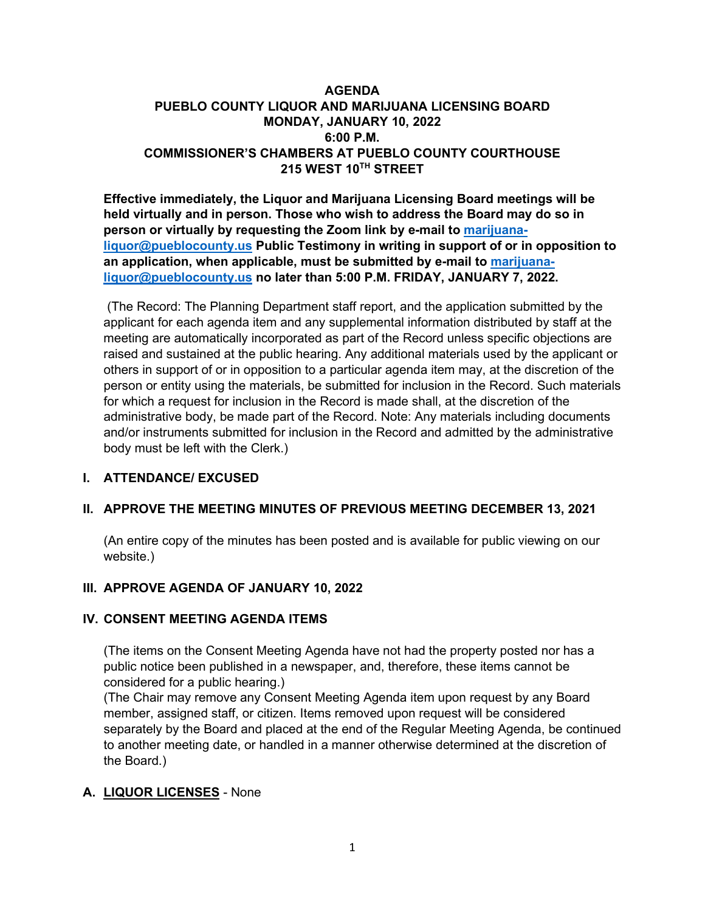## **AGENDA PUEBLO COUNTY LIQUOR AND MARIJUANA LICENSING BOARD MONDAY, JANUARY 10, 2022 6:00 P.M. COMMISSIONER'S CHAMBERS AT PUEBLO COUNTY COURTHOUSE 215 WEST 10TH STREET**

**Effective immediately, the Liquor and Marijuana Licensing Board meetings will be held virtually and in person. Those who wish to address the Board may do so in person or virtually by requesting the Zoom link by e-mail to [marijuana](mailto:marijuana-liquor@pueblocounty.us)[liquor@pueblocounty.us](mailto:marijuana-liquor@pueblocounty.us) Public Testimony in writing in support of or in opposition to an application, when applicable, must be submitted by e-mail to [marijuana](mailto:marijuana-liquor@pueblocounty.us)[liquor@pueblocounty.us](mailto:marijuana-liquor@pueblocounty.us) no later than 5:00 P.M. FRIDAY, JANUARY 7, 2022.**

(The Record: The Planning Department staff report, and the application submitted by the applicant for each agenda item and any supplemental information distributed by staff at the meeting are automatically incorporated as part of the Record unless specific objections are raised and sustained at the public hearing. Any additional materials used by the applicant or others in support of or in opposition to a particular agenda item may, at the discretion of the person or entity using the materials, be submitted for inclusion in the Record. Such materials for which a request for inclusion in the Record is made shall, at the discretion of the administrative body, be made part of the Record. Note: Any materials including documents and/or instruments submitted for inclusion in the Record and admitted by the administrative body must be left with the Clerk.)

## **I. ATTENDANCE/ EXCUSED**

## **II. APPROVE THE MEETING MINUTES OF PREVIOUS MEETING DECEMBER 13, 2021**

(An entire copy of the minutes has been posted and is available for public viewing on our website.)

## **III. APPROVE AGENDA OF JANUARY 10, 2022**

#### **IV. CONSENT MEETING AGENDA ITEMS**

(The items on the Consent Meeting Agenda have not had the property posted nor has a public notice been published in a newspaper, and, therefore, these items cannot be considered for a public hearing.)

(The Chair may remove any Consent Meeting Agenda item upon request by any Board member, assigned staff, or citizen. Items removed upon request will be considered separately by the Board and placed at the end of the Regular Meeting Agenda, be continued to another meeting date, or handled in a manner otherwise determined at the discretion of the Board.)

## **A. LIQUOR LICENSES** - None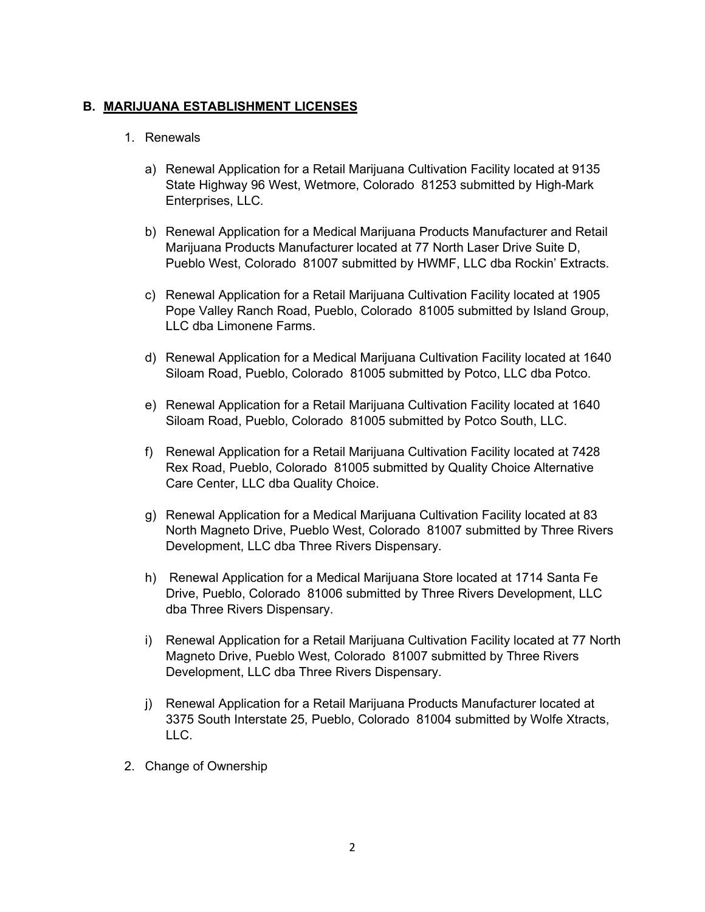# **B. MARIJUANA ESTABLISHMENT LICENSES**

#### 1. Renewals

- a) Renewal Application for a Retail Marijuana Cultivation Facility located at 9135 State Highway 96 West, Wetmore, Colorado 81253 submitted by High-Mark Enterprises, LLC.
- b) Renewal Application for a Medical Marijuana Products Manufacturer and Retail Marijuana Products Manufacturer located at 77 North Laser Drive Suite D, Pueblo West, Colorado 81007 submitted by HWMF, LLC dba Rockin' Extracts.
- c) Renewal Application for a Retail Marijuana Cultivation Facility located at 1905 Pope Valley Ranch Road, Pueblo, Colorado 81005 submitted by Island Group, LLC dba Limonene Farms.
- d) Renewal Application for a Medical Marijuana Cultivation Facility located at 1640 Siloam Road, Pueblo, Colorado 81005 submitted by Potco, LLC dba Potco.
- e) Renewal Application for a Retail Marijuana Cultivation Facility located at 1640 Siloam Road, Pueblo, Colorado 81005 submitted by Potco South, LLC.
- f) Renewal Application for a Retail Marijuana Cultivation Facility located at 7428 Rex Road, Pueblo, Colorado 81005 submitted by Quality Choice Alternative Care Center, LLC dba Quality Choice.
- g) Renewal Application for a Medical Marijuana Cultivation Facility located at 83 North Magneto Drive, Pueblo West, Colorado 81007 submitted by Three Rivers Development, LLC dba Three Rivers Dispensary.
- h) Renewal Application for a Medical Marijuana Store located at 1714 Santa Fe Drive, Pueblo, Colorado 81006 submitted by Three Rivers Development, LLC dba Three Rivers Dispensary.
- i) Renewal Application for a Retail Marijuana Cultivation Facility located at 77 North Magneto Drive, Pueblo West, Colorado 81007 submitted by Three Rivers Development, LLC dba Three Rivers Dispensary.
- j) Renewal Application for a Retail Marijuana Products Manufacturer located at 3375 South Interstate 25, Pueblo, Colorado 81004 submitted by Wolfe Xtracts, LLC.
- 2. Change of Ownership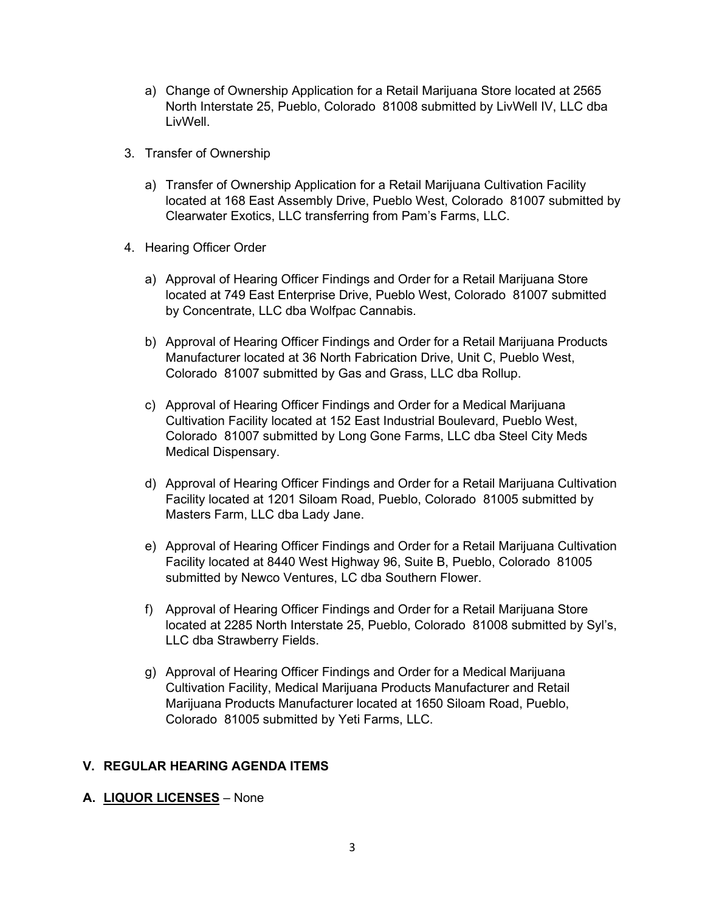- a) Change of Ownership Application for a Retail Marijuana Store located at 2565 North Interstate 25, Pueblo, Colorado 81008 submitted by LivWell IV, LLC dba LivWell.
- 3. Transfer of Ownership
	- a) Transfer of Ownership Application for a Retail Marijuana Cultivation Facility located at 168 East Assembly Drive, Pueblo West, Colorado 81007 submitted by Clearwater Exotics, LLC transferring from Pam's Farms, LLC.
- 4. Hearing Officer Order
	- a) Approval of Hearing Officer Findings and Order for a Retail Marijuana Store located at 749 East Enterprise Drive, Pueblo West, Colorado 81007 submitted by Concentrate, LLC dba Wolfpac Cannabis.
	- b) Approval of Hearing Officer Findings and Order for a Retail Marijuana Products Manufacturer located at 36 North Fabrication Drive, Unit C, Pueblo West, Colorado 81007 submitted by Gas and Grass, LLC dba Rollup.
	- c) Approval of Hearing Officer Findings and Order for a Medical Marijuana Cultivation Facility located at 152 East Industrial Boulevard, Pueblo West, Colorado 81007 submitted by Long Gone Farms, LLC dba Steel City Meds Medical Dispensary.
	- d) Approval of Hearing Officer Findings and Order for a Retail Marijuana Cultivation Facility located at 1201 Siloam Road, Pueblo, Colorado 81005 submitted by Masters Farm, LLC dba Lady Jane.
	- e) Approval of Hearing Officer Findings and Order for a Retail Marijuana Cultivation Facility located at 8440 West Highway 96, Suite B, Pueblo, Colorado 81005 submitted by Newco Ventures, LC dba Southern Flower.
	- f) Approval of Hearing Officer Findings and Order for a Retail Marijuana Store located at 2285 North Interstate 25, Pueblo, Colorado 81008 submitted by Syl's, LLC dba Strawberry Fields.
	- g) Approval of Hearing Officer Findings and Order for a Medical Marijuana Cultivation Facility, Medical Marijuana Products Manufacturer and Retail Marijuana Products Manufacturer located at 1650 Siloam Road, Pueblo, Colorado 81005 submitted by Yeti Farms, LLC.

## **V. REGULAR HEARING AGENDA ITEMS**

**A. LIQUOR LICENSES** – None